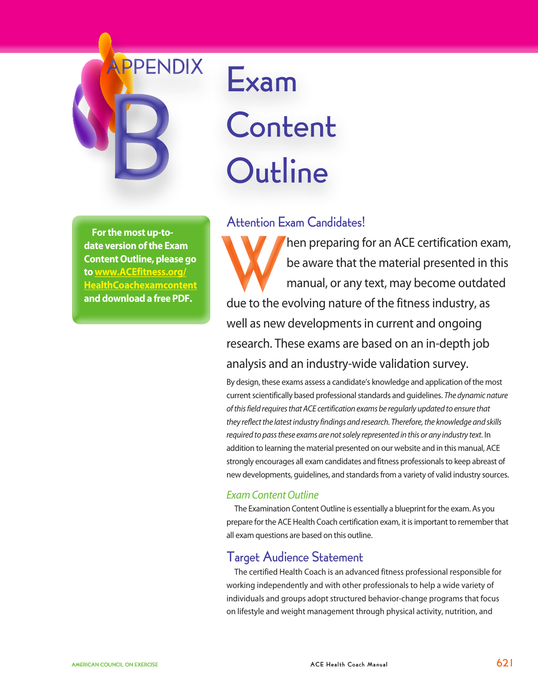

# Exam **Content Outline**

**For the most up-todate version of the Exam Content Outline, please go to [www.ACEfitness.org/](https://www.acefitness.org/fitness-certifications/pdfs/HC-Exam-Content-Outline.pdf) [HealthCoachexamcontent](https://www.acefitness.org/fitness-certifications/pdfs/HC-Exam-Content-Outline.pdf) and download a free PDF.**

Attention Exam Candidates!

then preparing for an ACE certification exam,<br>be aware that the material presented in this<br>manual, or any text, may become outdated be aware that the material presented in this manual, or any text, may become outdated Then preparing for an ACE certification ex<br>
be aware that the material presented in t<br>
manual, or any text, may become outdat<br>
due to the evolving nature of the fitness industry, as well as new developments in current and ongoing research. These exams are based on an in-depth job analysis and an industry-wide validation survey.

By design, these exams assess a candidate's knowledge and application of the most current scientifically based professional standards and guidelines. *The dynamic nature of this field requires that ACE certification exams be regularly updated to ensure that they reflect the latest industry findings and research. Therefore, the knowledge and skills required to pass these exams are not solely represented in this or any industry text*. In addition to learning the material presented on our website and in this manual, ACE strongly encourages all exam candidates and fitness professionals to keep abreast of new developments, guidelines, and standards from a variety of valid industry sources.

# *Exam Content Outline*

The Examination Content Outline is essentially a blueprint for the exam. As you prepare for the ACE Health Coach certification exam, it is important to remember that all exam questions are based on this outline.

# Target Audience Statement

The certified Health Coach is an advanced fitness professional responsible for working independently and with other professionals to help a wide variety of individuals and groups adopt structured behavior-change programs that focus on lifestyle and weight management through physical activity, nutrition, and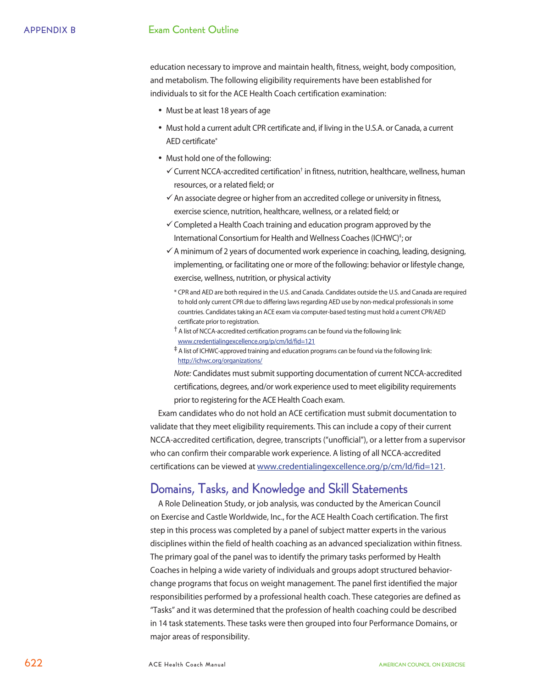education necessary to improve and maintain health, fitness, weight, body composition, and metabolism. The following eligibility requirements have been established for individuals to sit for the ACE Health Coach certification examination:

- Must be at least 18 years of age
- Must hold a current adult CPR certificate and, if living in the U.S.A. or Canada, a current AED certificate\*
- Must hold one of the following:
	- $\checkmark$  Current NCCA-accredited certification<sup>†</sup> in fitness, nutrition, healthcare, wellness, human resources, or a related field; or
	- $\checkmark$  An associate degree or higher from an accredited college or university in fitness, exercise science, nutrition, healthcare, wellness, or a related field; or
	- $\checkmark$  Completed a Health Coach training and education program approved by the International Consortium for Health and Wellness Coaches (ICHWC)<sup>‡</sup>; or
	- $\checkmark$  A minimum of 2 years of documented work experience in coaching, leading, designing, implementing, or facilitating one or more of the following: behavior or lifestyle change, exercise, wellness, nutrition, or physical activity
		- \* CPR and AED are both required in the U.S. and Canada. Candidates outside the U.S. and Canada are required to hold only current CPR due to differing laws regarding AED use by non-medical professionals in some countries. Candidates taking an ACE exam via computer-based testing must hold a current CPR/AED certificate prior to registration.
		- $\dagger$  A list of NCCA-accredited certification programs can be found via the following link: www.credentialingexcellence.org/p/cm/ld/fid=121
		- ‡ A list of ICHWC-approved training and education programs can be found via the following link: http://ichwc.org/organizations/

*Note:* Candidates must submit supporting documentation of current NCCA-accredited certifications, degrees, and/or work experience used to meet eligibility requirements

prior to registering for the ACE Health Coach exam.

Exam candidates who do not hold an ACE certification must submit documentation to validate that they meet eligibility requirements. This can include a copy of their current NCCA-accredited certification, degree, transcripts ("unofficial"), or a letter from a supervisor who can confirm their comparable work experience. A listing of all NCCA-accredited certifications can be viewed at www.credentialingexcellence.org/p/cm/ld/fid=121.

# Domains, Tasks, and Knowledge and Skill Statements

A Role Delineation Study, or job analysis, was conducted by the American Council on Exercise and Castle Worldwide, Inc., for the ACE Health Coach certification. The first step in this process was completed by a panel of subject matter experts in the various disciplines within the field of health coaching as an advanced specialization within fitness. The primary goal of the panel was to identify the primary tasks performed by Health Coaches in helping a wide variety of individuals and groups adopt structured behaviorchange programs that focus on weight management. The panel first identified the major responsibilities performed by a professional health coach. These categories are defined as "Tasks" and it was determined that the profession of health coaching could be described in 14 task statements. These tasks were then grouped into four Performance Domains, or major areas of responsibility.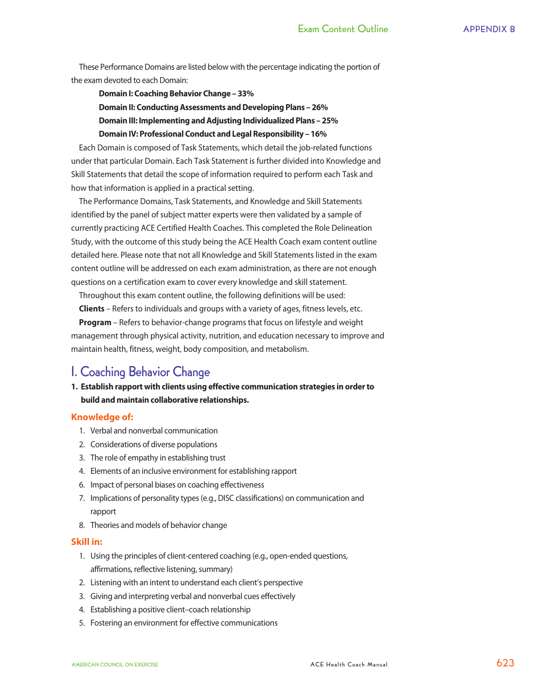These Performance Domains are listed below with the percentage indicating the portion of the exam devoted to each Domain:

**Domain I: Coaching Behavior Change – 33% Domain II: Conducting Assessments and Developing Plans – 26% Domain III: Implementing and Adjusting Individualized Plans – 25% Domain IV: Professional Conduct and Legal Responsibility – 16%** 

Each Domain is composed of Task Statements, which detail the job-related functions under that particular Domain. Each Task Statement is further divided into Knowledge and Skill Statements that detail the scope of information required to perform each Task and how that information is applied in a practical setting.

The Performance Domains, Task Statements, and Knowledge and Skill Statements identified by the panel of subject matter experts were then validated by a sample of currently practicing ACE Certified Health Coaches. This completed the Role Delineation Study, with the outcome of this study being the ACE Health Coach exam content outline detailed here. Please note that not all Knowledge and Skill Statements listed in the exam content outline will be addressed on each exam administration, as there are not enough questions on a certification exam to cover every knowledge and skill statement.

Throughout this exam content outline, the following definitions will be used: **Clients** – Refers to individuals and groups with a variety of ages, fitness levels, etc.

**Program** – Refers to behavior-change programs that focus on lifestyle and weight management through physical activity, nutrition, and education necessary to improve and maintain health, fitness, weight, body composition, and metabolism.

# I. Coaching Behavior Change

**1. Establish rapport with clients using effective communication strategies in order to build and maintain collaborative relationships.**

# **Knowledge of:**

- 1. Verbal and nonverbal communication
- 2. Considerations of diverse populations
- 3. The role of empathy in establishing trust
- 4. Elements of an inclusive environment for establishing rapport
- 6. Impact of personal biases on coaching effectiveness
- 7. Implications of personality types (e.g., DISC classifications) on communication and rapport
- 8. Theories and models of behavior change

- 1. Using the principles of client-centered coaching (e.g., open-ended questions, affirmations, reflective listening, summary)
- 2. Listening with an intent to understand each client's perspective
- 3. Giving and interpreting verbal and nonverbal cues effectively
- 4. Establishing a positive client–coach relationship
- 5. Fostering an environment for effective communications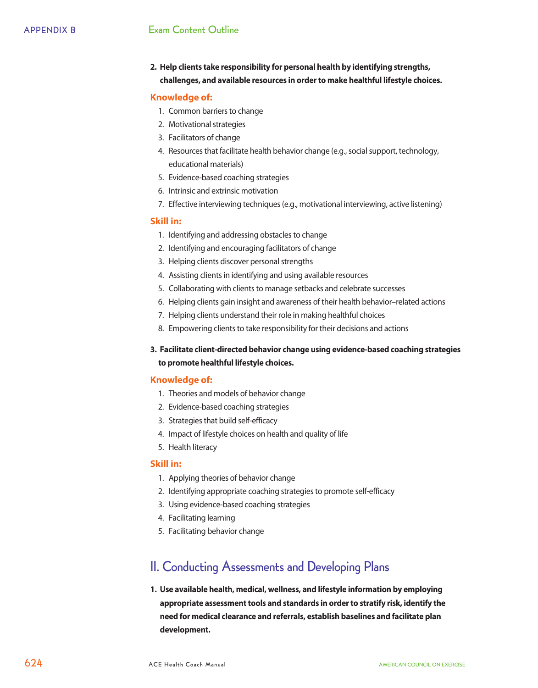**2. Help clients take responsibility for personal health by identifying strengths, challenges, and available resources in order to make healthful lifestyle choices.**

#### **Knowledge of:**

- 1. Common barriers to change
- 2. Motivational strategies
- 3. Facilitators of change
- 4. Resources that facilitate health behavior change (e.g., social support, technology, educational materials)
- 5. Evidence-based coaching strategies
- 6. Intrinsic and extrinsic motivation
- 7. Effective interviewing techniques (e.g., motivational interviewing, active listening)

#### **Skill in:**

- 1. Identifying and addressing obstacles to change
- 2. Identifying and encouraging facilitators of change
- 3. Helping clients discover personal strengths
- 4. Assisting clients in identifying and using available resources
- 5. Collaborating with clients to manage setbacks and celebrate successes
- 6. Helping clients gain insight and awareness of their health behavior–related actions
- 7. Helping clients understand their role in making healthful choices
- 8. Empowering clients to take responsibility for their decisions and actions
- **3. Facilitate client-directed behavior change using evidence-based coaching strategies to promote healthful lifestyle choices.**

#### **Knowledge of:**

- 1. Theories and models of behavior change
- 2. Evidence-based coaching strategies
- 3. Strategies that build self-efficacy
- 4. Impact of lifestyle choices on health and quality of life
- 5. Health literacy

# **Skill in:**

- 1. Applying theories of behavior change
- 2. Identifying appropriate coaching strategies to promote self-efficacy
- 3. Using evidence-based coaching strategies
- 4. Facilitating learning
- 5. Facilitating behavior change

# II. Conducting Assessments and Developing Plans

**1. Use available health, medical, wellness, and lifestyle information by employing appropriate assessment tools and standards in order to stratify risk, identify the need for medical clearance and referrals, establish baselines and facilitate plan development.**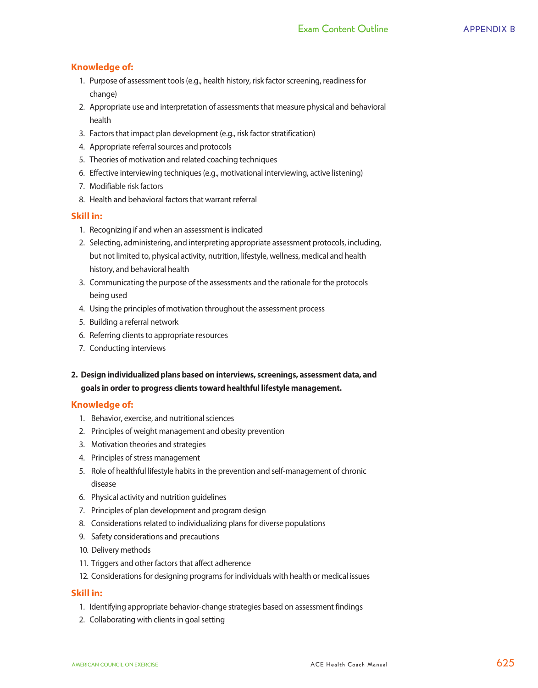# **Knowledge of:**

- 1. Purpose of assessment tools (e.g., health history, risk factor screening, readiness for change)
- 2. Appropriate use and interpretation of assessments that measure physical and behavioral health
- 3. Factors that impact plan development (e.g., risk factor stratification)
- 4. Appropriate referral sources and protocols
- 5. Theories of motivation and related coaching techniques
- 6. Effective interviewing techniques (e.g., motivational interviewing, active listening)
- 7. Modifiable risk factors
- 8. Health and behavioral factors that warrant referral

# **Skill in:**

- 1. Recognizing if and when an assessment is indicated
- 2. Selecting, administering, and interpreting appropriate assessment protocols, including, but not limited to, physical activity, nutrition, lifestyle, wellness, medical and health history, and behavioral health
- 3. Communicating the purpose of the assessments and the rationale for the protocols being used
- 4. Using the principles of motivation throughout the assessment process
- 5. Building a referral network
- 6. Referring clients to appropriate resources
- 7. Conducting interviews
- **2. Design individualized plans based on interviews, screenings, assessment data, and goals in order to progress clients toward healthful lifestyle management.**

# **Knowledge of:**

- 1. Behavior, exercise, and nutritional sciences
- 2. Principles of weight management and obesity prevention
- 3. Motivation theories and strategies
- 4. Principles of stress management
- 5. Role of healthful lifestyle habits in the prevention and self-management of chronic disease
- 6. Physical activity and nutrition guidelines
- 7. Principles of plan development and program design
- 8. Considerations related to individualizing plans for diverse populations
- 9. Safety considerations and precautions
- 10. Delivery methods
- 11. Triggers and other factors that affect adherence
- 12. Considerations for designing programs for individuals with health or medical issues

- 1. Identifying appropriate behavior-change strategies based on assessment findings
- 2. Collaborating with clients in goal setting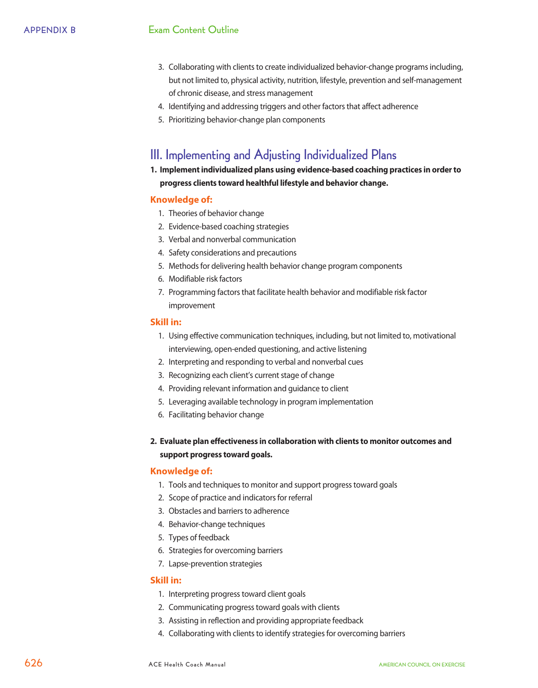- 3. Collaborating with clients to create individualized behavior-change programs including, but not limited to, physical activity, nutrition, lifestyle, prevention and self-management of chronic disease, and stress management
- 4. Identifying and addressing triggers and other factors that affect adherence
- 5. Prioritizing behavior-change plan components

# III. Implementing and Adjusting Individualized Plans

**1. Implement individualized plans using evidence-based coaching practices in order to progress clients toward healthful lifestyle and behavior change.** 

# **Knowledge of:**

- 1. Theories of behavior change
- 2. Evidence-based coaching strategies
- 3. Verbal and nonverbal communication
- 4. Safety considerations and precautions
- 5. Methods for delivering health behavior change program components
- 6. Modifiable risk factors
- 7. Programming factors that facilitate health behavior and modifiable risk factor improvement

# **Skill in:**

- 1. Using effective communication techniques, including, but not limited to, motivational interviewing, open-ended questioning, and active listening
- 2. Interpreting and responding to verbal and nonverbal cues
- 3. Recognizing each client's current stage of change
- 4. Providing relevant information and guidance to client
- 5. Leveraging available technology in program implementation
- 6. Facilitating behavior change
- **2. Evaluate plan effectiveness in collaboration with clients to monitor outcomes and support progress toward goals.**

# **Knowledge of:**

- 1. Tools and techniques to monitor and support progress toward goals
- 2. Scope of practice and indicators for referral
- 3. Obstacles and barriers to adherence
- 4. Behavior-change techniques
- 5. Types of feedback
- 6. Strategies for overcoming barriers
- 7. Lapse-prevention strategies

- 1. Interpreting progress toward client goals
- 2. Communicating progress toward goals with clients
- 3. Assisting in reflection and providing appropriate feedback
- 4. Collaborating with clients to identify strategies for overcoming barriers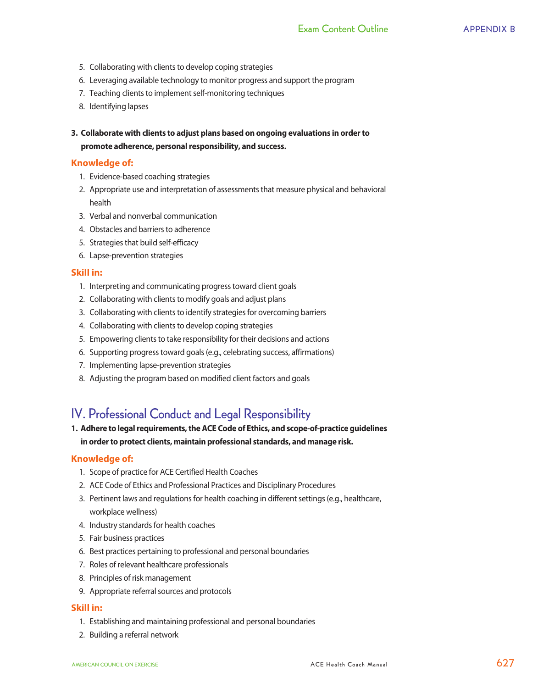- 5. Collaborating with clients to develop coping strategies
- 6. Leveraging available technology to monitor progress and support the program
- 7. Teaching clients to implement self-monitoring techniques
- 8. Identifying lapses
- **3. Collaborate with clients to adjust plans based on ongoing evaluations in order to promote adherence, personal responsibility, and success.**

## **Knowledge of:**

- 1. Evidence-based coaching strategies
- 2. Appropriate use and interpretation of assessments that measure physical and behavioral health
- 3. Verbal and nonverbal communication
- 4. Obstacles and barriers to adherence
- 5. Strategies that build self-efficacy
- 6. Lapse-prevention strategies

#### **Skill in:**

- 1. Interpreting and communicating progress toward client goals
- 2. Collaborating with clients to modify goals and adjust plans
- 3. Collaborating with clients to identify strategies for overcoming barriers
- 4. Collaborating with clients to develop coping strategies
- 5. Empowering clients to take responsibility for their decisions and actions
- 6. Supporting progress toward goals (e.g., celebrating success, affirmations)
- 7. Implementing lapse-prevention strategies
- 8. Adjusting the program based on modified client factors and goals

# IV. Professional Conduct and Legal Responsibility

**1. Adhere to legal requirements, the ACE Code of Ethics, and scope-of-practice guidelines in order to protect clients, maintain professional standards, and manage risk.** 

# **Knowledge of:**

- 1. Scope of practice for ACE Certified Health Coaches
- 2. ACE Code of Ethics and Professional Practices and Disciplinary Procedures
- 3. Pertinent laws and regulations for health coaching in different settings (e.g., healthcare, workplace wellness)
- 4. Industry standards for health coaches
- 5. Fair business practices
- 6. Best practices pertaining to professional and personal boundaries
- 7. Roles of relevant healthcare professionals
- 8. Principles of risk management
- 9. Appropriate referral sources and protocols

- 1. Establishing and maintaining professional and personal boundaries
- 2. Building a referral network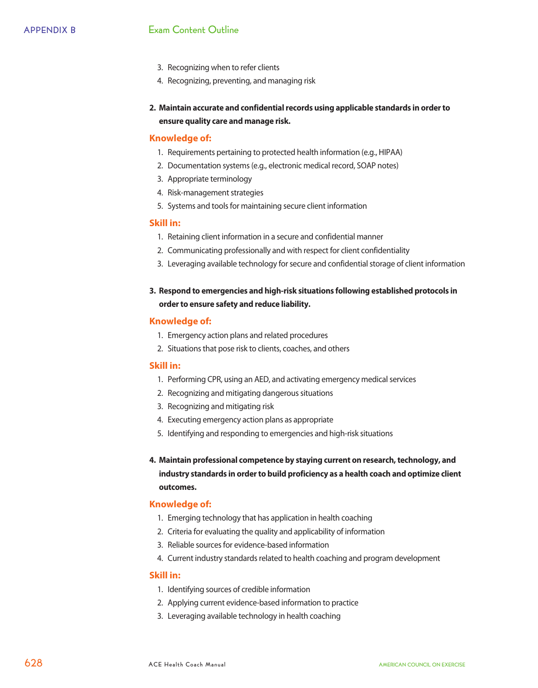## APPENDIX B Exam Content Outline

- 3. Recognizing when to refer clients
- 4. Recognizing, preventing, and managing risk
- **2. Maintain accurate and confidential records using applicable standards in order to ensure quality care and manage risk.**

#### **Knowledge of:**

- 1. Requirements pertaining to protected health information (e.g., HIPAA)
- 2. Documentation systems (e.g., electronic medical record, SOAP notes)
- 3. Appropriate terminology
- 4. Risk-management strategies
- 5. Systems and tools for maintaining secure client information

#### **Skill in:**

- 1. Retaining client information in a secure and confidential manner
- 2. Communicating professionally and with respect for client confidentiality
- 3. Leveraging available technology for secure and confidential storage of client information

# **3. Respond to emergencies and high-risk situations following established protocols in order to ensure safety and reduce liability.**

# **Knowledge of:**

- 1. Emergency action plans and related procedures
- 2. Situations that pose risk to clients, coaches, and others

# **Skill in:**

- 1. Performing CPR, using an AED, and activating emergency medical services
- 2. Recognizing and mitigating dangerous situations
- 3. Recognizing and mitigating risk
- 4. Executing emergency action plans as appropriate
- 5. Identifying and responding to emergencies and high-risk situations
- **4. Maintain professional competence by staying current on research, technology, and industry standards in order to build proficiency as a health coach and optimize client outcomes.**

#### **Knowledge of:**

- 1. Emerging technology that has application in health coaching
- 2. Criteria for evaluating the quality and applicability of information
- 3. Reliable sources for evidence-based information
- 4. Current industry standards related to health coaching and program development

- 1. Identifying sources of credible information
- 2. Applying current evidence-based information to practice
- 3. Leveraging available technology in health coaching